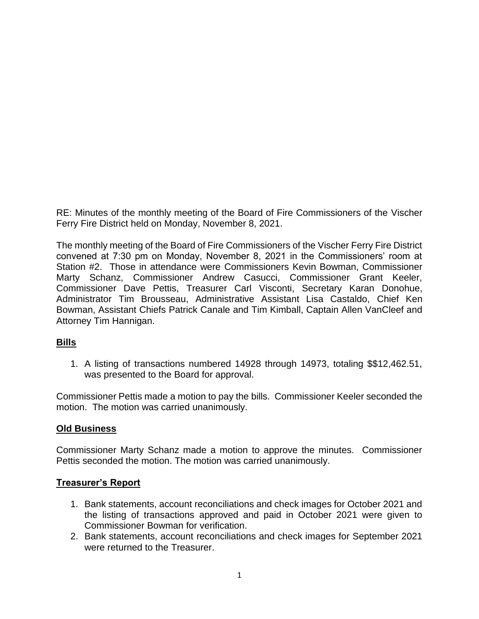RE: Minutes of the monthly meeting of the Board of Fire Commissioners of the Vischer Ferry Fire District held on Monday, November 8, 2021.

The monthly meeting of the Board of Fire Commissioners of the Vischer Ferry Fire District convened at 7:30 pm on Monday, November 8, 2021 in the Commissioners' room at Station #2. Those in attendance were Commissioners Kevin Bowman, Commissioner Marty Schanz, Commissioner Andrew Casucci, Commissioner Grant Keeler, Commissioner Dave Pettis, Treasurer Carl Visconti, Secretary Karan Donohue, Administrator Tim Brousseau, Administrative Assistant Lisa Castaldo, Chief Ken Bowman, Assistant Chiefs Patrick Canale and Tim Kimball, Captain Allen VanCleef and Attorney Tim Hannigan.

### **Bills**

1. A listing of transactions numbered 14928 through 14973, totaling \$\$12,462.51, was presented to the Board for approval.

Commissioner Pettis made a motion to pay the bills. Commissioner Keeler seconded the motion. The motion was carried unanimously.

### **Old Business**

Commissioner Marty Schanz made a motion to approve the minutes. Commissioner Pettis seconded the motion. The motion was carried unanimously.

### **Treasurer's Report**

- 1. Bank statements, account reconciliations and check images for October 2021 and the listing of transactions approved and paid in October 2021 were given to Commissioner Bowman for verification.
- 2. Bank statements, account reconciliations and check images for September 2021 were returned to the Treasurer.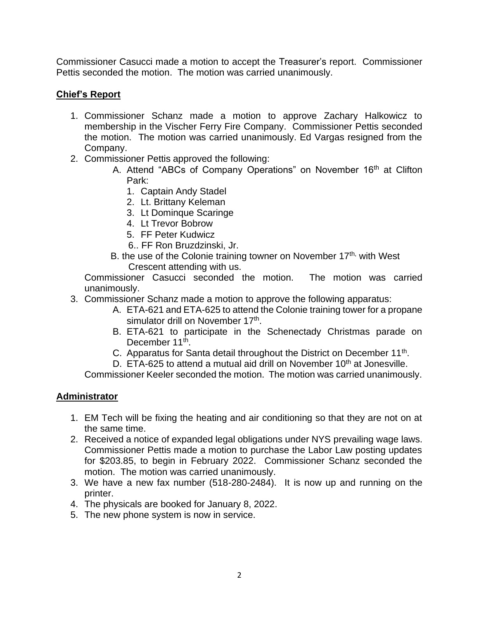Commissioner Casucci made a motion to accept the Treasurer's report. Commissioner Pettis seconded the motion. The motion was carried unanimously.

# **Chief's Report**

- 1. Commissioner Schanz made a motion to approve Zachary Halkowicz to membership in the Vischer Ferry Fire Company. Commissioner Pettis seconded the motion. The motion was carried unanimously. Ed Vargas resigned from the Company.
- 2. Commissioner Pettis approved the following:
	- A. Attend "ABCs of Company Operations" on November 16<sup>th</sup> at Clifton Park:
		- 1. Captain Andy Stadel
		- 2. Lt. Brittany Keleman
		- 3. Lt Dominque Scaringe
		- 4. Lt Trevor Bobrow
		- 5. FF Peter Kudwicz
		- 6.. FF Ron Bruzdzinski, Jr.
	- B. the use of the Colonie training towner on November  $17<sup>th</sup>$ , with West Crescent attending with us.

Commissioner Casucci seconded the motion. The motion was carried unanimously.

- 3. Commissioner Schanz made a motion to approve the following apparatus:
	- A. ETA-621 and ETA-625 to attend the Colonie training tower for a propane simulator drill on November 17<sup>th</sup>.
	- B. ETA-621 to participate in the Schenectady Christmas parade on December 11<sup>th</sup>.
	- C. Apparatus for Santa detail throughout the District on December 11<sup>th</sup>.
	- D. ETA-625 to attend a mutual aid drill on November 10<sup>th</sup> at Jonesville.

Commissioner Keeler seconded the motion. The motion was carried unanimously.

## **Administrator**

- 1. EM Tech will be fixing the heating and air conditioning so that they are not on at the same time.
- 2. Received a notice of expanded legal obligations under NYS prevailing wage laws. Commissioner Pettis made a motion to purchase the Labor Law posting updates for \$203.85, to begin in February 2022. Commissioner Schanz seconded the motion. The motion was carried unanimously.
- 3. We have a new fax number (518-280-2484). It is now up and running on the printer.
- 4. The physicals are booked for January 8, 2022.
- 5. The new phone system is now in service.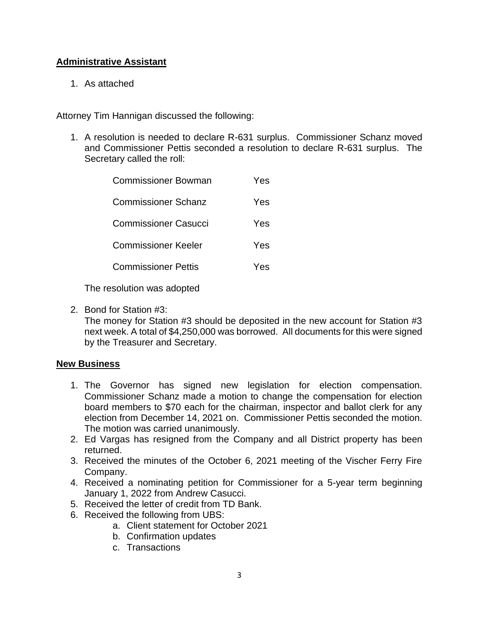## **Administrative Assistant**

1. As attached

Attorney Tim Hannigan discussed the following:

1. A resolution is needed to declare R-631 surplus. Commissioner Schanz moved and Commissioner Pettis seconded a resolution to declare R-631 surplus. The Secretary called the roll:

| Commissioner Bowman         | Yes |
|-----------------------------|-----|
| Commissioner Schanz         | Yes |
| <b>Commissioner Casucci</b> | Yes |
| Commissioner Keeler         | Yes |
| <b>Commissioner Pettis</b>  | Yes |
|                             |     |

The resolution was adopted

2. Bond for Station #3:

The money for Station #3 should be deposited in the new account for Station #3 next week. A total of \$4,250,000 was borrowed. All documents for this were signed by the Treasurer and Secretary.

### **New Business**

- 1. The Governor has signed new legislation for election compensation. Commissioner Schanz made a motion to change the compensation for election board members to \$70 each for the chairman, inspector and ballot clerk for any election from December 14, 2021 on. Commissioner Pettis seconded the motion. The motion was carried unanimously.
- 2. Ed Vargas has resigned from the Company and all District property has been returned.
- 3. Received the minutes of the October 6, 2021 meeting of the Vischer Ferry Fire Company.
- 4. Received a nominating petition for Commissioner for a 5-year term beginning January 1, 2022 from Andrew Casucci.
- 5. Received the letter of credit from TD Bank.
- 6. Received the following from UBS:
	- a. Client statement for October 2021
	- b. Confirmation updates
	- c. Transactions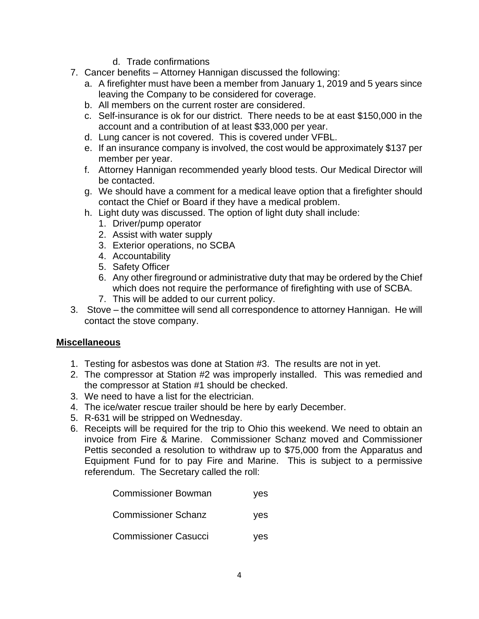- d. Trade confirmations
- 7. Cancer benefits Attorney Hannigan discussed the following:
	- a. A firefighter must have been a member from January 1, 2019 and 5 years since leaving the Company to be considered for coverage.
	- b. All members on the current roster are considered.
	- c. Self-insurance is ok for our district. There needs to be at east \$150,000 in the account and a contribution of at least \$33,000 per year.
	- d. Lung cancer is not covered. This is covered under VFBL.
	- e. If an insurance company is involved, the cost would be approximately \$137 per member per year.
	- f. Attorney Hannigan recommended yearly blood tests. Our Medical Director will be contacted.
	- g. We should have a comment for a medical leave option that a firefighter should contact the Chief or Board if they have a medical problem.
	- h. Light duty was discussed. The option of light duty shall include:
		- 1. Driver/pump operator
		- 2. Assist with water supply
		- 3. Exterior operations, no SCBA
		- 4. Accountability
		- 5. Safety Officer
		- 6. Any other fireground or administrative duty that may be ordered by the Chief which does not require the performance of firefighting with use of SCBA.
		- 7. This will be added to our current policy.
- 3. Stove the committee will send all correspondence to attorney Hannigan. He will contact the stove company.

### **Miscellaneous**

- 1. Testing for asbestos was done at Station #3. The results are not in yet.
- 2. The compressor at Station #2 was improperly installed. This was remedied and the compressor at Station #1 should be checked.
- 3. We need to have a list for the electrician.
- 4. The ice/water rescue trailer should be here by early December.
- 5. R-631 will be stripped on Wednesday.
- 6. Receipts will be required for the trip to Ohio this weekend. We need to obtain an invoice from Fire & Marine. Commissioner Schanz moved and Commissioner Pettis seconded a resolution to withdraw up to \$75,000 from the Apparatus and Equipment Fund for to pay Fire and Marine. This is subject to a permissive referendum. The Secretary called the roll:

| <b>Commissioner Bowman</b>  | yes |  |
|-----------------------------|-----|--|
| <b>Commissioner Schanz</b>  | yes |  |
| <b>Commissioner Casucci</b> | yes |  |